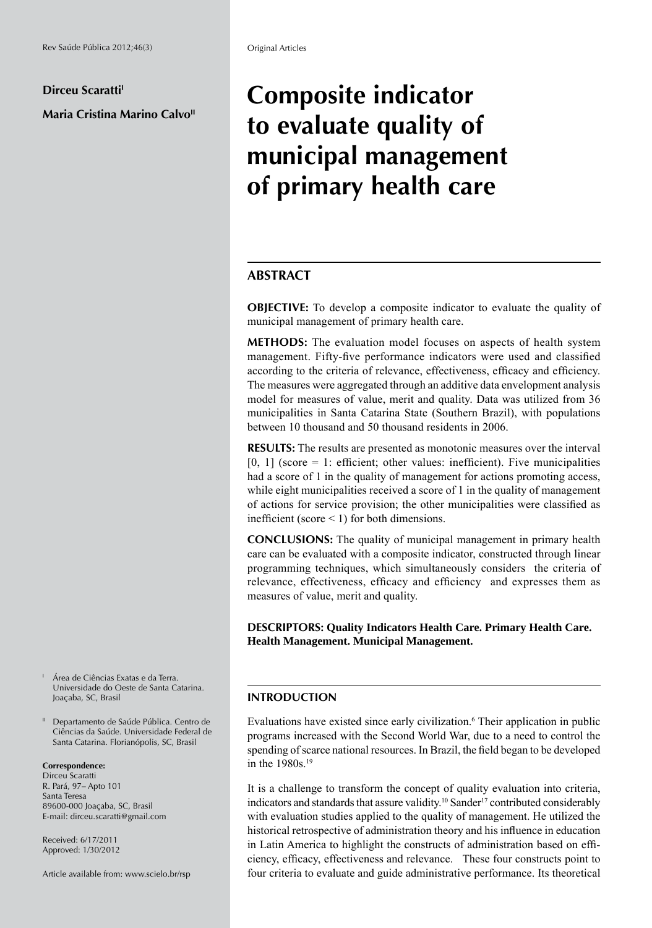## **Dirceu Scaratti<sup>1</sup>**

**Maria Cristina Marino Calvo**<sup>11</sup>

# **Composite indicator to evaluate quality of municipal management of primary health care**

## **ABSTRACT**

**OBJECTIVE:** To develop a composite indicator to evaluate the quality of municipal management of primary health care.

**METHODS:** The evaluation model focuses on aspects of health system management. Fifty-five performance indicators were used and classified according to the criteria of relevance, effectiveness, efficacy and efficiency. The measures were aggregated through an additive data envelopment analysis model for measures of value, merit and quality. Data was utilized from 36 municipalities in Santa Catarina State (Southern Brazil), with populations between 10 thousand and 50 thousand residents in 2006.

**RESULTS:** The results are presented as monotonic measures over the interval  $[0, 1]$  (score = 1: efficient; other values: inefficient). Five municipalities had a score of 1 in the quality of management for actions promoting access, while eight municipalities received a score of 1 in the quality of management of actions for service provision; the other municipalities were classified as inefficient (score  $\leq$  1) for both dimensions.

**CONCLUSIONS:** The quality of municipal management in primary health care can be evaluated with a composite indicator, constructed through linear programming techniques, which simultaneously considers the criteria of relevance, effectiveness, efficacy and efficiency and expresses them as measures of value, merit and quality.

**DESCRIPTORS: Quality Indicators Health Care. Primary Health Care. Health Management. Municipal Management.**

## **INTRODUCTION**

Evaluations have existed since early civilization.<sup>6</sup> Their application in public programs increased with the Second World War, due to a need to control the spending of scarce national resources. In Brazil, the field began to be developed in the 1980s.19

It is a challenge to transform the concept of quality evaluation into criteria, indicators and standards that assure validity.<sup>10</sup> Sander<sup>17</sup> contributed considerably with evaluation studies applied to the quality of management. He utilized the historical retrospective of administration theory and his influence in education in Latin America to highlight the constructs of administration based on efficiency, efficacy, effectiveness and relevance. These four constructs point to four criteria to evaluate and guide administrative performance. Its theoretical

- Área de Ciências Exatas e da Terra. Universidade do Oeste de Santa Catarina. Joaçaba, SC, Brasil
- II Departamento de Saúde Pública. Centro de Ciências da Saúde. Universidade Federal de Santa Catarina. Florianópolis, SC, Brasil

#### **Correspondence:**

Dirceu Scaratti R. Pará, 97– Apto 101 Santa Teresa 89600-000 Joaçaba, SC, Brasil E-mail: dirceu.scaratti@gmail.com

Received: 6/17/2011 Approved: 1/30/2012

Article available from: www.scielo.br/rsp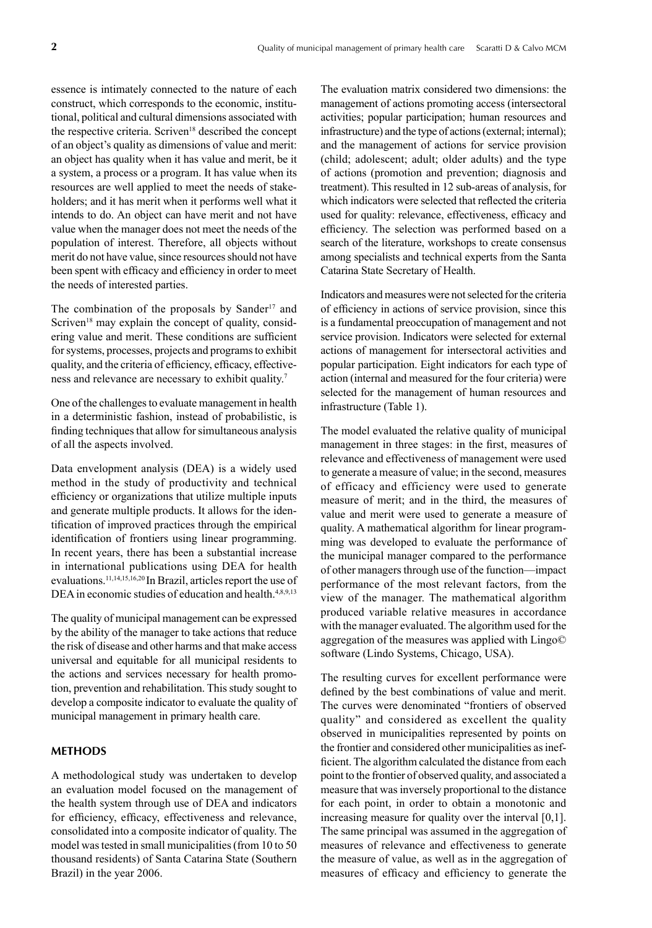essence is intimately connected to the nature of each construct, which corresponds to the economic, institutional, political and cultural dimensions associated with the respective criteria. Scriven<sup>18</sup> described the concept of an object's quality as dimensions of value and merit: an object has quality when it has value and merit, be it a system, a process or a program. It has value when its resources are well applied to meet the needs of stakeholders; and it has merit when it performs well what it intends to do. An object can have merit and not have value when the manager does not meet the needs of the population of interest. Therefore, all objects without merit do not have value, since resources should not have been spent with efficacy and efficiency in order to meet the needs of interested parties.

The combination of the proposals by Sander<sup>17</sup> and Scriven<sup>18</sup> may explain the concept of quality, considering value and merit. These conditions are sufficient for systems, processes, projects and programs to exhibit quality, and the criteria of efficiency, efficacy, effectiveness and relevance are necessary to exhibit quality.7

One of the challenges to evaluate management in health in a deterministic fashion, instead of probabilistic, is finding techniques that allow for simultaneous analysis of all the aspects involved.

Data envelopment analysis (DEA) is a widely used method in the study of productivity and technical efficiency or organizations that utilize multiple inputs and generate multiple products. It allows for the identification of improved practices through the empirical identification of frontiers using linear programming. In recent years, there has been a substantial increase in international publications using DEA for health evaluations.11,14,15,16,20 In Brazil, articles report the use of DEA in economic studies of education and health.<sup>4,8,9,13</sup>

The quality of municipal management can be expressed by the ability of the manager to take actions that reduce the risk of disease and other harms and that make access universal and equitable for all municipal residents to the actions and services necessary for health promotion, prevention and rehabilitation. This study sought to develop a composite indicator to evaluate the quality of municipal management in primary health care.

## **METHODS**

A methodological study was undertaken to develop an evaluation model focused on the management of the health system through use of DEA and indicators for efficiency, efficacy, effectiveness and relevance, consolidated into a composite indicator of quality. The model was tested in small municipalities (from 10 to 50 thousand residents) of Santa Catarina State (Southern Brazil) in the year 2006.

The evaluation matrix considered two dimensions: the management of actions promoting access (intersectoral activities; popular participation; human resources and infrastructure) and the type of actions (external; internal); and the management of actions for service provision (child; adolescent; adult; older adults) and the type of actions (promotion and prevention; diagnosis and treatment). This resulted in 12 sub-areas of analysis, for which indicators were selected that reflected the criteria used for quality: relevance, effectiveness, efficacy and efficiency. The selection was performed based on a search of the literature, workshops to create consensus among specialists and technical experts from the Santa Catarina State Secretary of Health.

Indicators and measures were not selected for the criteria of efficiency in actions of service provision, since this is a fundamental preoccupation of management and not service provision. Indicators were selected for external actions of management for intersectoral activities and popular participation. Eight indicators for each type of action (internal and measured for the four criteria) were selected for the management of human resources and infrastructure (Table 1).

The model evaluated the relative quality of municipal management in three stages: in the first, measures of relevance and effectiveness of management were used to generate a measure of value; in the second, measures of efficacy and efficiency were used to generate measure of merit; and in the third, the measures of value and merit were used to generate a measure of quality. A mathematical algorithm for linear programming was developed to evaluate the performance of the municipal manager compared to the performance of other managers through use of the function—impact performance of the most relevant factors, from the view of the manager. The mathematical algorithm produced variable relative measures in accordance with the manager evaluated. The algorithm used for the aggregation of the measures was applied with Lingo© software (Lindo Systems, Chicago, USA).

The resulting curves for excellent performance were defined by the best combinations of value and merit. The curves were denominated "frontiers of observed quality" and considered as excellent the quality observed in municipalities represented by points on the frontier and considered other municipalities as inefficient. The algorithm calculated the distance from each point to the frontier of observed quality, and associated a measure that was inversely proportional to the distance for each point, in order to obtain a monotonic and increasing measure for quality over the interval [0,1]. The same principal was assumed in the aggregation of measures of relevance and effectiveness to generate the measure of value, as well as in the aggregation of measures of efficacy and efficiency to generate the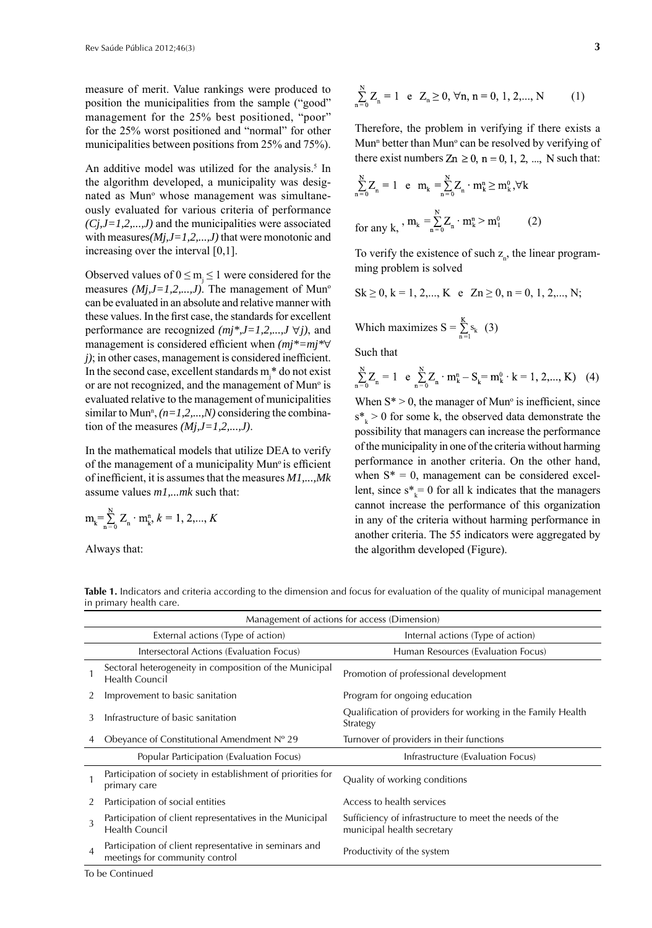measure of merit. Value rankings were produced to position the municipalities from the sample ("good" management for the 25% best positioned, "poor" for the 25% worst positioned and "normal" for other municipalities between positions from 25% and 75%).

An additive model was utilized for the analysis.<sup>5</sup> In the algorithm developed, a municipality was designated as Mun<sup>o</sup> whose management was simultaneously evaluated for various criteria of performance *(Cj,J=1,2,...,J)* and the municipalities were associated with measures*(Mj,J=1,2,...,J)* that were monotonic and increasing over the interval [0,1].

Observed values of  $0 \le m \le 1$  were considered for the measures  $(Mi, J=1, 2,...,J)$ . The management of Mun<sup>o</sup> can be evaluated in an absolute and relative manner with these values. In the first case, the standards for excellent performance are recognized  $(mj^*, J=1, 2, ..., J \forall j)$ , and management is considered efficient when  $(mj^* = mj^* \forall$  $j$ ); in other cases, management is considered inefficient. In the second case, excellent standards  $m_j^*$  do not exist or are not recognized, and the management of Mun<sup>o</sup> is evaluated relative to the management of municipalities similar to Mun<sup>n</sup>,  $(n=1,2,...,N)$  considering the combination of the measures *(Mj,J=1,2,...,J)*.

In the mathematical models that utilize DEA to verify of the management of a municipality  $Mun^{\circ}$  is efficient of inefficient, it is assumes that the measures  $M1$ ,..., Mk assume values *m1,...mk* such that:

$$
m_k = \sum_{n=0}^{N} Z_n \cdot m_k^n, k = 1, 2, ..., K
$$

Always that:

$$
\sum_{n=0}^{N} Z_n = 1 \quad e \quad Z_n \ge 0, \ \forall n, n = 0, 1, 2, \dots, N \tag{1}
$$

Therefore, the problem in verifying if there exists a  $M$ un<sup>n</sup> better than  $M$ un<sup>o</sup> can be resolved by verifying of there exist numbers  $Zn \ge 0$ ,  $n = 0, 1, 2, ...$  N such that:

$$
\sum_{n=0}^{N} Z_n = 1 \quad e \quad m_k = \sum_{n=0}^{N} Z_n \cdot m_k^n \ge m_k^0, \forall k
$$
  
for any k, ,  $m_k = \sum_{n=0}^{N} Z_n \cdot m_k^n > m_1^0$  (2)

To verify the existence of such  $z_n$ , the linear programming problem is solved

$$
Sk \ge 0, k = 1, 2, ..., K \quad e \quad Zn \ge 0, n = 0, 1, 2, ..., N;
$$

Which maximizes  $S = \sum_{k=1}^{K} s_k$  (3)

Such that

$$
\sum_{n=0}^{N} Z_n = 1 \quad e \sum_{n=0}^{N} Z_n \cdot m_k^n - S_k = m_k^0 \cdot k = 1, 2, ..., K) \quad (4)
$$

When  $S^* > 0$ , the manager of Mun<sup>o</sup> is inefficient, since  $s^*_{k} > 0$  for some k, the observed data demonstrate the possibility that managers can increase the performance of the municipality in one of the criteria without harming performance in another criteria. On the other hand, when  $S^* = 0$ , management can be considered excellent, since  $s^*_{k} = 0$  for all k indicates that the managers cannot increase the performance of this organization in any of the criteria without harming performance in another criteria. The 55 indicators were aggregated by the algorithm developed (Figure).

**Table 1.** Indicators and criteria according to the dimension and focus for evaluation of the quality of municipal management in primary health care.

|   | Management of actions for access (Dimension)                                             |                                                                                      |  |  |  |  |  |  |
|---|------------------------------------------------------------------------------------------|--------------------------------------------------------------------------------------|--|--|--|--|--|--|
|   | External actions (Type of action)                                                        | Internal actions (Type of action)                                                    |  |  |  |  |  |  |
|   | Intersectoral Actions (Evaluation Focus)                                                 | Human Resources (Evaluation Focus)                                                   |  |  |  |  |  |  |
|   | Sectoral heterogeneity in composition of the Municipal<br><b>Health Council</b>          | Promotion of professional development                                                |  |  |  |  |  |  |
|   | Improvement to basic sanitation                                                          | Program for ongoing education                                                        |  |  |  |  |  |  |
|   | Infrastructure of basic sanitation                                                       | Qualification of providers for working in the Family Health<br>Strategy              |  |  |  |  |  |  |
|   | Obeyance of Constitutional Amendment Nº 29                                               | Turnover of providers in their functions                                             |  |  |  |  |  |  |
|   | Popular Participation (Evaluation Focus)                                                 | Infrastructure (Evaluation Focus)                                                    |  |  |  |  |  |  |
|   | Participation of society in establishment of priorities for<br>primary care              | Quality of working conditions                                                        |  |  |  |  |  |  |
|   | Participation of social entities                                                         | Access to health services                                                            |  |  |  |  |  |  |
| 3 | Participation of client representatives in the Municipal<br><b>Health Council</b>        | Sufficiency of infrastructure to meet the needs of the<br>municipal health secretary |  |  |  |  |  |  |
| 4 | Participation of client representative in seminars and<br>meetings for community control | Productivity of the system                                                           |  |  |  |  |  |  |

To be Continued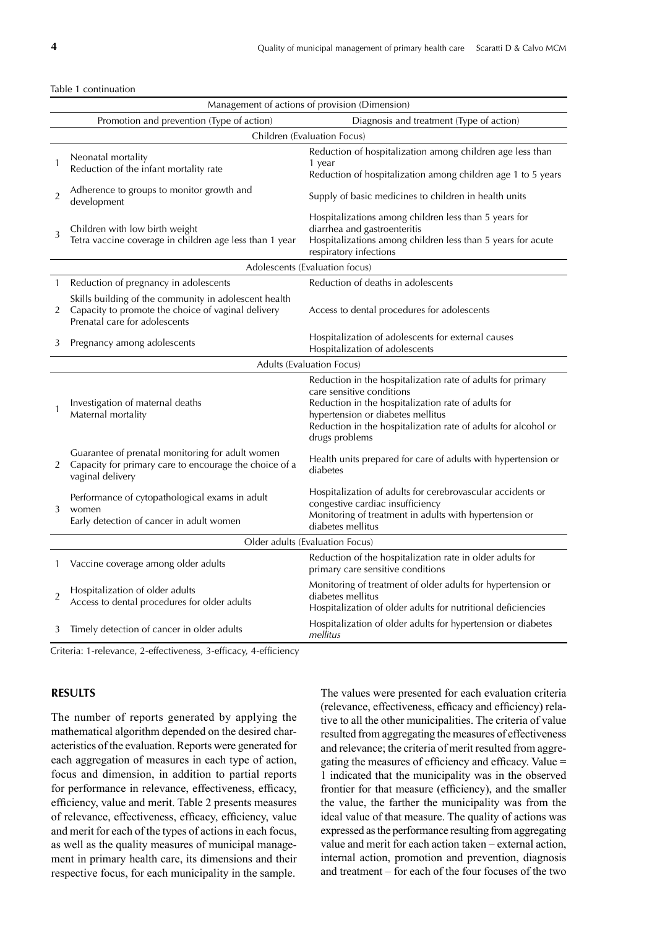|                | Management of actions of provision (Dimension)                                                                                               |                                                                                                                                                                                                                                                                          |  |  |  |  |  |  |
|----------------|----------------------------------------------------------------------------------------------------------------------------------------------|--------------------------------------------------------------------------------------------------------------------------------------------------------------------------------------------------------------------------------------------------------------------------|--|--|--|--|--|--|
|                | Promotion and prevention (Type of action)                                                                                                    | Diagnosis and treatment (Type of action)                                                                                                                                                                                                                                 |  |  |  |  |  |  |
|                |                                                                                                                                              | Children (Evaluation Focus)                                                                                                                                                                                                                                              |  |  |  |  |  |  |
| 1              | Neonatal mortality<br>Reduction of the infant mortality rate                                                                                 | Reduction of hospitalization among children age less than<br>1 year<br>Reduction of hospitalization among children age 1 to 5 years                                                                                                                                      |  |  |  |  |  |  |
| $\overline{2}$ | Adherence to groups to monitor growth and<br>development                                                                                     | Supply of basic medicines to children in health units                                                                                                                                                                                                                    |  |  |  |  |  |  |
| 3              | Children with low birth weight<br>Tetra vaccine coverage in children age less than 1 year                                                    | Hospitalizations among children less than 5 years for<br>diarrhea and gastroenteritis<br>Hospitalizations among children less than 5 years for acute<br>respiratory infections                                                                                           |  |  |  |  |  |  |
|                |                                                                                                                                              | Adolescents (Evaluation focus)                                                                                                                                                                                                                                           |  |  |  |  |  |  |
| $\mathbf{1}$   | Reduction of pregnancy in adolescents                                                                                                        | Reduction of deaths in adolescents                                                                                                                                                                                                                                       |  |  |  |  |  |  |
| 2              | Skills building of the community in adolescent health<br>Capacity to promote the choice of vaginal delivery<br>Prenatal care for adolescents | Access to dental procedures for adolescents                                                                                                                                                                                                                              |  |  |  |  |  |  |
| 3              | Pregnancy among adolescents                                                                                                                  | Hospitalization of adolescents for external causes<br>Hospitalization of adolescents                                                                                                                                                                                     |  |  |  |  |  |  |
|                |                                                                                                                                              | <b>Adults (Evaluation Focus)</b>                                                                                                                                                                                                                                         |  |  |  |  |  |  |
| 1              | Investigation of maternal deaths<br>Maternal mortality                                                                                       | Reduction in the hospitalization rate of adults for primary<br>care sensitive conditions<br>Reduction in the hospitalization rate of adults for<br>hypertension or diabetes mellitus<br>Reduction in the hospitalization rate of adults for alcohol or<br>drugs problems |  |  |  |  |  |  |
| 2              | Guarantee of prenatal monitoring for adult women<br>Capacity for primary care to encourage the choice of a<br>vaginal delivery               | Health units prepared for care of adults with hypertension or<br>diabetes                                                                                                                                                                                                |  |  |  |  |  |  |
| 3              | Performance of cytopathological exams in adult<br>women<br>Early detection of cancer in adult women                                          | Hospitalization of adults for cerebrovascular accidents or<br>congestive cardiac insufficiency<br>Monitoring of treatment in adults with hypertension or<br>diabetes mellitus                                                                                            |  |  |  |  |  |  |
|                |                                                                                                                                              | Older adults (Evaluation Focus)                                                                                                                                                                                                                                          |  |  |  |  |  |  |
| 1              | Vaccine coverage among older adults                                                                                                          | Reduction of the hospitalization rate in older adults for<br>primary care sensitive conditions                                                                                                                                                                           |  |  |  |  |  |  |
| $\overline{2}$ | Hospitalization of older adults<br>Access to dental procedures for older adults                                                              | Monitoring of treatment of older adults for hypertension or<br>diabetes mellitus<br>Hospitalization of older adults for nutritional deficiencies                                                                                                                         |  |  |  |  |  |  |
| 3              | Timely detection of cancer in older adults                                                                                                   | Hospitalization of older adults for hypertension or diabetes<br>mellitus                                                                                                                                                                                                 |  |  |  |  |  |  |

Criteria: 1-relevance, 2-effectiveness, 3-efficacy, 4-efficiency

## **RESULTS**

The number of reports generated by applying the mathematical algorithm depended on the desired characteristics of the evaluation. Reports were generated for each aggregation of measures in each type of action, focus and dimension, in addition to partial reports for performance in relevance, effectiveness, efficacy, efficiency, value and merit. Table 2 presents measures of relevance, effectiveness, efficacy, efficiency, value and merit for each of the types of actions in each focus, as well as the quality measures of municipal management in primary health care, its dimensions and their respective focus, for each municipality in the sample.

The values were presented for each evaluation criteria (relevance, effectiveness, efficacy and efficiency) relative to all the other municipalities. The criteria of value resulted from aggregating the measures of effectiveness and relevance; the criteria of merit resulted from aggregating the measures of efficiency and efficacy. Value  $=$ 1 indicated that the municipality was in the observed frontier for that measure (efficiency), and the smaller the value, the farther the municipality was from the ideal value of that measure. The quality of actions was expressed as the performance resulting from aggregating value and merit for each action taken – external action, internal action, promotion and prevention, diagnosis and treatment – for each of the four focuses of the two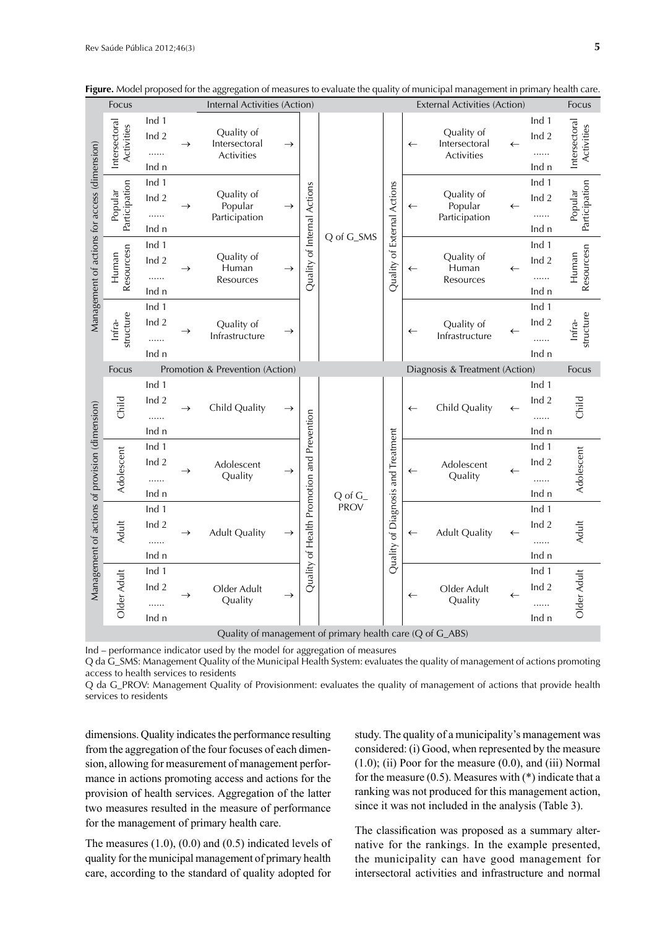|                                                | Focus                       |                                         |               | Internal Activities (Action)                     |               |                                            |                                                                   |                                    |              |                                                  | <b>External Activities (Action)</b><br>Focus |                                           |                             |
|------------------------------------------------|-----------------------------|-----------------------------------------|---------------|--------------------------------------------------|---------------|--------------------------------------------|-------------------------------------------------------------------|------------------------------------|--------------|--------------------------------------------------|----------------------------------------------|-------------------------------------------|-----------------------------|
| Management of actions for access (dimension)   | Intersectoral<br>Activities | Ind 1<br>Ind $2$<br>.<br>Ind n          | $\rightarrow$ | Quality of<br>Intersectoral<br><b>Activities</b> | $\rightarrow$ |                                            |                                                                   |                                    | $\leftarrow$ | Quality of<br>Intersectoral<br><b>Activities</b> | $\leftarrow$                                 | Ind 1<br>Ind $2$<br>.<br>Ind n            | Intersectoral<br>Activities |
|                                                | Participation<br>Popular    | Ind $1$<br>Ind $2$<br>.<br>Ind n        |               | Quality of<br>Popular<br>Participation           | $\rightarrow$ | Quality of Internal Actions                | Q of G_SMS                                                        | Quality of External Actions        | $\leftarrow$ | Quality of<br>Popular<br>Participation           | $\leftarrow$                                 | Ind $1$<br>Ind $2$<br>.<br>Ind n          | Participation<br>Popular    |
|                                                | Resourcesn<br>Human         | Ind 1<br>Ind <sub>2</sub><br>.<br>Ind n |               | Quality of<br>Human<br>Resources                 | $\rightarrow$ |                                            |                                                                   |                                    | $\leftarrow$ | Quality of<br>Human<br>Resources                 | $\leftarrow$                                 | Ind $1$<br>Ind $2$<br>.<br>Ind n          | Resourcesn<br>Human         |
|                                                | structure<br>Infra-         | Ind $1$<br>Ind $2$<br>.<br>Ind n        |               | Quality of<br>Infrastructure                     | $\rightarrow$ |                                            |                                                                   |                                    | $\leftarrow$ | Quality of<br>Infrastructure                     | $\leftarrow$                                 | Ind $1$<br>Ind $2$<br>.<br>Ind n          | structure<br>Infra-         |
|                                                | Focus                       |                                         |               | Promotion & Prevention (Action)                  |               |                                            |                                                                   |                                    |              | Diagnosis & Treatment (Action)                   |                                              |                                           | Focus                       |
|                                                |                             |                                         |               |                                                  |               |                                            |                                                                   |                                    |              |                                                  |                                              |                                           |                             |
|                                                | Child                       | Ind 1<br>Ind $2$<br>.<br>Ind n          | $\rightarrow$ | Child Quality                                    | $\rightarrow$ |                                            |                                                                   |                                    | $\leftarrow$ | Child Quality                                    | $\leftarrow$                                 | Ind $1$<br>Ind $2$<br>Ind n               | Child                       |
|                                                | Adolescent                  | Ind 1<br>Ind $2$<br>.<br>Ind n          |               | Adolescent<br>Quality                            |               |                                            |                                                                   |                                    | $\leftarrow$ | Adolescent<br>Quality                            | $\leftarrow$                                 | Ind $1$<br>Ind $2$<br>.<br>Ind n          | Adolescent                  |
|                                                | <b>Adult</b>                | Ind 1<br>Ind $2$<br>.<br>Ind n          | $\rightarrow$ | <b>Adult Quality</b>                             | $\rightarrow$ |                                            | Q of G_<br><b>PROV</b>                                            |                                    | $\leftarrow$ | <b>Adult Quality</b>                             | $\leftarrow$                                 | Ind $1$<br>Ind <sub>2</sub><br>.<br>Ind n | Adult                       |
| Management of actions of provision (dimension) | Older Adult                 | Ind 1<br>Ind <sub>2</sub><br>Ind n      |               | Older Adult<br>Quality                           | $\rightarrow$ | Quality of Health Promotion and Prevention | Quality of management of primary health care $(Q \circ f)$ . ARS) | Quality of Diagnosis and Treatment | $\leftarrow$ | Older Adult<br>Quality                           | $\leftarrow$                                 | Ind 1<br>Ind $2$<br><br>Ind n             | Older Adult                 |

**Figure.** Model proposed for the aggregation of measures to evaluate the quality of municipal management in primary health care.

anty of management of primary nealth care ( $\gtrsim$  of

Ind – performance indicator used by the model for aggregation of measures

Q da G\_SMS: Management Quality of the Municipal Health System: evaluates the quality of management of actions promoting access to health services to residents

Q da G\_PROV: Management Quality of Provisionment: evaluates the quality of management of actions that provide health services to residents

dimensions. Quality indicates the performance resulting from the aggregation of the four focuses of each dimension, allowing for measurement of management performance in actions promoting access and actions for the provision of health services. Aggregation of the latter two measures resulted in the measure of performance for the management of primary health care.

The measures  $(1.0)$ ,  $(0.0)$  and  $(0.5)$  indicated levels of quality for the municipal management of primary health care, according to the standard of quality adopted for

study. The quality of a municipality's management was considered: (i) Good, when represented by the measure  $(1.0)$ ; (ii) Poor for the measure  $(0.0)$ , and (iii) Normal for the measure  $(0.5)$ . Measures with  $(*)$  indicate that a ranking was not produced for this management action, since it was not included in the analysis (Table 3).

The classification was proposed as a summary alternative for the rankings. In the example presented, the municipality can have good management for intersectoral activities and infrastructure and normal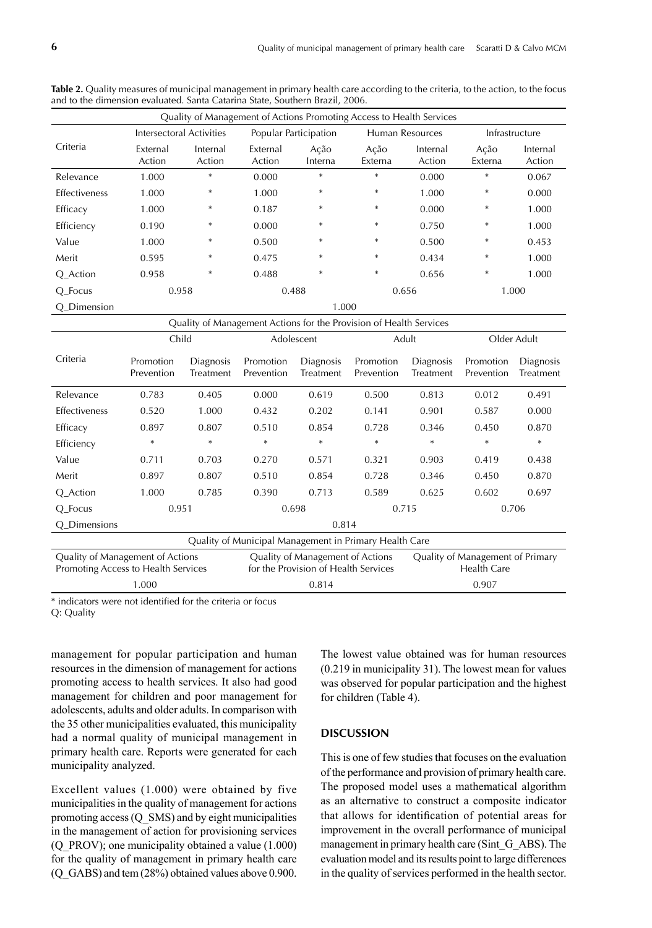| Quality of Management of Actions Promoting Access to Health Services |                          |                        |                                                                    |                        |                         |                        |                         |                        |  |
|----------------------------------------------------------------------|--------------------------|------------------------|--------------------------------------------------------------------|------------------------|-------------------------|------------------------|-------------------------|------------------------|--|
|                                                                      | Intersectoral Activities |                        | Popular Participation                                              |                        | Human Resources         |                        | Infrastructure          |                        |  |
| Criteria                                                             | External                 | Internal               | External                                                           | Ação                   | Ação                    | Internal               | Ação                    | Internal               |  |
|                                                                      | Action                   | Action                 | Action                                                             | Interna                | Externa                 | Action                 | Externa                 | Action                 |  |
| Relevance                                                            | 1.000                    | $\ast$                 | 0.000                                                              | $\ast$                 | $\ast$                  | 0.000                  | $\ast$                  | 0.067                  |  |
| Effectiveness                                                        | 1.000                    | $\ast$                 | 1.000                                                              | $\ast$                 | $\ast$                  | 1.000                  | $\ast$                  | 0.000                  |  |
| Efficacy                                                             | 1.000                    | $\ast$                 | 0.187                                                              | $\ast$                 | $\ast$                  | 0.000                  | $\ast$                  | 1.000                  |  |
| Efficiency                                                           | 0.190                    | $\ast$                 | 0.000                                                              | $\ast$                 | $\ast$                  | 0.750                  | $\ast$                  | 1.000                  |  |
| Value                                                                | 1.000                    | *                      | 0.500                                                              | *                      | *                       | 0.500                  | $\ast$                  | 0.453                  |  |
| Merit                                                                | 0.595                    | $\ast$                 | 0.475                                                              | $\ast$                 | $\ast$                  | 0.434                  | $\ast$                  | 1.000                  |  |
| Q_Action                                                             | 0.958                    | $\ast$                 | 0.488                                                              | $\ast$                 | $\ast$                  | 0.656                  | $\ast$                  | 1.000                  |  |
| Q_Focus                                                              | 0.958                    |                        | 0.488                                                              |                        | 0.656                   |                        | 1.000                   |                        |  |
| Q_Dimension                                                          |                          |                        |                                                                    | 1.000                  |                         |                        |                         |                        |  |
|                                                                      |                          |                        | Quality of Management Actions for the Provision of Health Services |                        |                         |                        |                         |                        |  |
|                                                                      | Child                    |                        |                                                                    | Adolescent             | Adult                   |                        |                         | Older Adult            |  |
| Criteria                                                             | Promotion<br>Prevention  | Diagnosis<br>Treatment | Promotion<br>Prevention                                            | Diagnosis<br>Treatment | Promotion<br>Prevention | Diagnosis<br>Treatment | Promotion<br>Prevention | Diagnosis<br>Treatment |  |
| Relevance                                                            | 0.783                    | 0.405                  | 0.000                                                              | 0.619                  | 0.500                   | 0.813                  | 0.012                   | 0.491                  |  |
| Effectiveness                                                        | 0.520                    | 1.000                  | 0.432                                                              | 0.202                  | 0.141                   | 0.901                  |                         | 0.000                  |  |
| Efficacy                                                             | 0.897                    | 0.807                  | 0.510                                                              | 0.854                  | 0.728                   | 0.346                  | 0.450                   | 0.870                  |  |
| Efficiency                                                           | $\ast$                   | $\ast$                 | $\ast$                                                             | $\ast$                 | $\ast$                  | $\ast$                 | $\ast$                  | $\ast$                 |  |
| Value                                                                | 0.711                    | 0.703                  | 0.270                                                              | 0.571                  | 0.321                   | 0.903                  | 0.419                   | 0.438                  |  |
| Merit                                                                | 0.897                    | 0.807                  | 0.510                                                              | 0.854                  | 0.728                   | 0.346                  | 0.450                   | 0.870                  |  |
| Q_Action                                                             | 1.000                    | 0.785                  | 0.390                                                              | 0.713                  | 0.589                   | 0.625                  | 0.602                   | 0.697                  |  |
| Q_Focus                                                              | 0.951                    |                        | 0.698                                                              |                        | 0.715                   |                        | 0.706                   |                        |  |
| O Dimensions                                                         |                          |                        |                                                                    | 0.814                  |                         |                        |                         |                        |  |

Quality of Municipal Management in Primary Health Care

0.814

Table 2. Quality measures of municipal management in primary health care according to the criteria, to the action, to the focus and to the dimension evaluated. Santa Catarina State, Southern Brazil, 2006.

**Ouality of Management of Actions Ouality of Management of Actions Ouality of Management of Primary** Promoting Access to Health Services for the Provision of Health Services

1.000 \* indicators were not identified for the criteria or focus

O: Ouality

management for popular participation and human resources in the dimension of management for actions promoting access to health services. It also had good management for children and poor management for adolescents, adults and older adults. In comparison with the 35 other municipalities evaluated, this municipality had a normal quality of municipal management in primary health care. Reports were generated for each municipality analyzed.

Excellent values (1.000) were obtained by five municipalities in the quality of management for actions promoting access (Q\_SMS) and by eight municipalities in the management of action for provisioning services (Q\_PROV); one municipality obtained a value (1.000) for the quality of management in primary health care (Q GABS) and tem (28%) obtained values above 0.900. The lowest value obtained was for human resources  $(0.219$  in municipality 31). The lowest mean for values was observed for popular participation and the highest for children (Table 4).

Health Care

0.907

## **DISCUSSION**

This is one of few studies that focuses on the evaluation of the performance and provision of primary health care. The proposed model uses a mathematical algorithm as an alternative to construct a composite indicator that allows for identification of potential areas for improvement in the overall performance of municipal management in primary health care (Sint G ABS). The evaluation model and its results point to large differences in the quality of services performed in the health sector.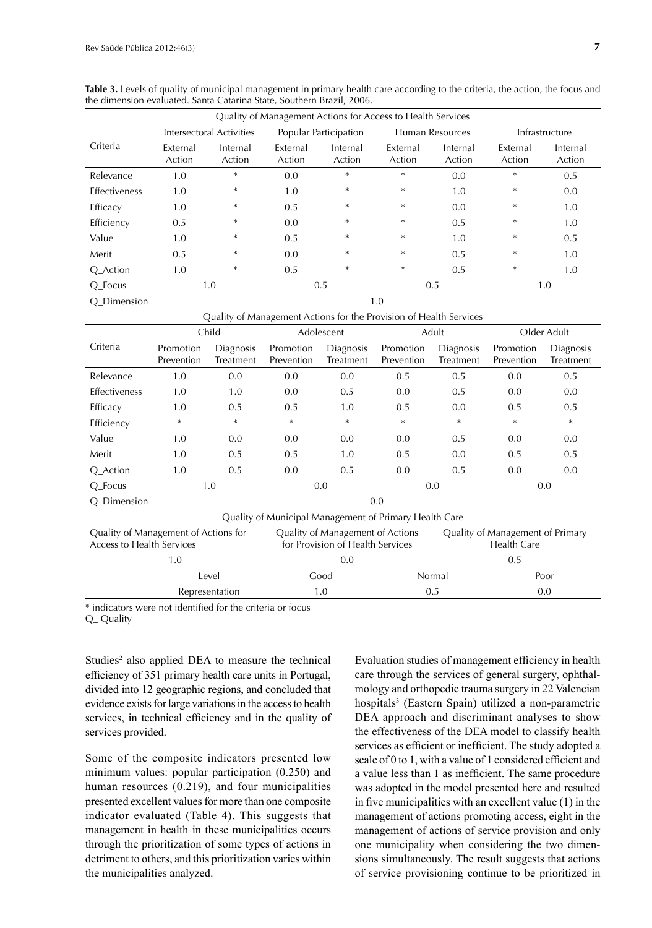| Quality of Management Actions for Access to Health Services |                          |                          |                       |                    |                    |                    |                    |                    |  |
|-------------------------------------------------------------|--------------------------|--------------------------|-----------------------|--------------------|--------------------|--------------------|--------------------|--------------------|--|
|                                                             |                          | Intersectoral Activities | Popular Participation |                    |                    | Human Resources    | Infrastructure     |                    |  |
| Criteria                                                    | External<br>Action       | Internal<br>Action       | External<br>Action    | Internal<br>Action | External<br>Action | Internal<br>Action | External<br>Action | Internal<br>Action |  |
| Relevance                                                   | 1.0                      | $\ast$                   | 0.0                   | $\ast$             | $\ast$             | 0.0                | $\ast$             | 0.5                |  |
| <b>Effectiveness</b>                                        | 1.0                      | $*$                      | 1.0                   | $\ast$             | *                  | 1.0                | $\ast$             | 0.0                |  |
| Efficacy                                                    | $*$<br>1.0<br>$*$<br>0.5 |                          | 0.5                   | $\ast$             | *                  | 0.0                | $\ast$<br>$\ast$   | 1.0<br>1.0         |  |
| Efficiency                                                  |                          |                          | 0.0                   | $\ast$             | *                  | 0.5                |                    |                    |  |
| Value                                                       | 1.0                      | $*$                      | 0.5                   | $\ast$             | $\ast$             | 1.0                | $\ast$             | 0.5                |  |
| Merit                                                       | 0.5                      | $*$                      | 0.0                   | $\ast$             | $\ast$             | 0.5                | $\ast$             | 1.0                |  |
| Q_Action                                                    | 1.0                      | $\ast$                   | 0.5                   | $\ast$             | $\ast$             | 0.5                | $\ast$             | 1.0                |  |
| Q_Focus                                                     | 1.0                      |                          | 0.5                   |                    |                    | 0.5                | 1.0                |                    |  |
| O Dimension                                                 |                          |                          |                       | 1.0                |                    |                    |                    |                    |  |

Table 3. Levels of quality of municipal management in primary health care according to the criteria, the action, the focus and the dimension evaluated. Santa Catarina State, Southern Brazil, 2006.

| Quality of Management Actions for the Provision of Health Services |                         |                        |                                                   |                                                                      |                                                        |                                                        |                         |                        |  |
|--------------------------------------------------------------------|-------------------------|------------------------|---------------------------------------------------|----------------------------------------------------------------------|--------------------------------------------------------|--------------------------------------------------------|-------------------------|------------------------|--|
|                                                                    |                         | Child                  |                                                   | Adolescent                                                           |                                                        | Adult                                                  | Older Adult             |                        |  |
| Criteria                                                           | Promotion<br>Prevention | Diagnosis<br>Treatment | Promotion<br>Diagnosis<br>Prevention<br>Treatment |                                                                      | Promotion<br>Prevention                                | Diagnosis<br>Treatment                                 | Promotion<br>Prevention | Diagnosis<br>Treatment |  |
| Relevance                                                          | 1.0<br>0.0              |                        | 0.0                                               | 0.0                                                                  | 0.5                                                    | 0.5                                                    | 0.0                     | 0.5                    |  |
| Effectiveness                                                      | 1.0                     | 1.0                    | 0.0                                               | 0.5                                                                  | 0.0                                                    | 0.5                                                    | 0.0                     | 0.0                    |  |
| Efficacy                                                           | 1.0                     | 0.5                    | 0.5                                               | 1.0                                                                  | 0.5                                                    | 0.0                                                    | 0.5                     | 0.5                    |  |
| Efficiency                                                         | $\ast$                  | $\ast$                 | $\ast$                                            | $\ast$                                                               | $\ast$                                                 | $\ast$                                                 | $\ast$                  | $\ast$                 |  |
| Value                                                              | 1.0                     | 0.0                    | 0.0                                               | 0.0                                                                  | 0.0                                                    | 0.5                                                    | 0.0                     | 0.0                    |  |
| Merit                                                              | 1.0                     | 0.5                    | 0.5                                               | 1.0                                                                  | 0.5                                                    | 0.0                                                    | 0.5                     | 0.5                    |  |
| Q_Action                                                           | 1.0                     | 0.5                    | 0.0                                               | 0.5                                                                  | 0.0                                                    | 0.5                                                    | 0.0                     | 0.0                    |  |
| Q_Focus<br>1.0                                                     |                         |                        | 0.0                                               |                                                                      |                                                        | 0.0<br>0.0                                             |                         |                        |  |
| Q_Dimension                                                        |                         |                        |                                                   |                                                                      | 0.0                                                    |                                                        |                         |                        |  |
|                                                                    |                         |                        |                                                   |                                                                      | Quality of Municipal Management of Primary Health Care |                                                        |                         |                        |  |
| Quality of Management of Actions for<br>Access to Health Services  |                         |                        |                                                   | Quality of Management of Actions<br>for Provision of Health Services |                                                        | Quality of Management of Primary<br><b>Health Care</b> |                         |                        |  |
|                                                                    | 1.0                     |                        |                                                   | 0.0                                                                  |                                                        |                                                        | 0.5                     |                        |  |
|                                                                    |                         | Level                  | Good                                              |                                                                      |                                                        | Normal<br>Poor                                         |                         |                        |  |

 $1.0$ 

\* indicators were not identified for the criteria or focus

Representation

Q\_ Quality

Studies<sup>2</sup> also applied DEA to measure the technical efficiency of 351 primary health care units in Portugal, divided into 12 geographic regions, and concluded that evidence exists for large variations in the access to health services, in technical efficiency and in the quality of services provided.

Some of the composite indicators presented low minimum values: popular participation (0.250) and human resources  $(0.219)$ , and four municipalities presented excellent values for more than one composite indicator evaluated (Table 4). This suggests that management in health in these municipalities occurs through the prioritization of some types of actions in detriment to others, and this prioritization varies within the municipalities analyzed.

Evaluation studies of management efficiency in health care through the services of general surgery, ophthalmology and orthopedic trauma surgery in 22 Valencian hospitals<sup>3</sup> (Eastern Spain) utilized a non-parametric DEA approach and discriminant analyses to show the effectiveness of the DEA model to classify health services as efficient or inefficient. The study adopted a scale of 0 to 1, with a value of 1 considered efficient and a value less than 1 as inefficient. The same procedure was adopted in the model presented here and resulted in five municipalities with an excellent value  $(1)$  in the management of actions promoting access, eight in the management of actions of service provision and only one municipality when considering the two dimensions simultaneously. The result suggests that actions of service provisioning continue to be prioritized in

 $0.0$ 

 $0.5$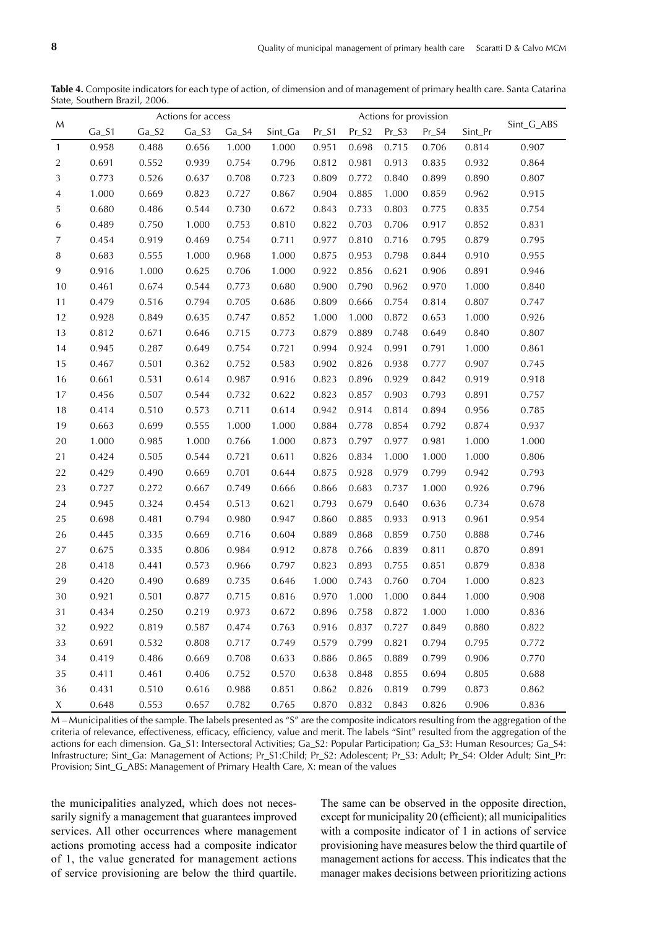|                | Actions for access |         |         |       |         | Actions for provission |          |          |                     |         |            |
|----------------|--------------------|---------|---------|-------|---------|------------------------|----------|----------|---------------------|---------|------------|
| M              | Ga_S1              | $Ga_S2$ | $Ga$ S3 | Ga_S4 | Sint_Ga | $Pr_S1$                | $Pr_$ S2 | $Pr_$ S3 | $Pr_$ <sub>54</sub> | Sint_Pr | Sint_G_ABS |
| $\mathbf{1}$   | 0.958              | 0.488   | 0.656   | 1.000 | 1.000   | 0.951                  | 0.698    | 0.715    | 0.706               | 0.814   | 0.907      |
| $\overline{2}$ | 0.691              | 0.552   | 0.939   | 0.754 | 0.796   | 0.812                  | 0.981    | 0.913    | 0.835               | 0.932   | 0.864      |
| 3              | 0.773              | 0.526   | 0.637   | 0.708 | 0.723   | 0.809                  | 0.772    | 0.840    | 0.899               | 0.890   | 0.807      |
| $\overline{4}$ | 1.000              | 0.669   | 0.823   | 0.727 | 0.867   | 0.904                  | 0.885    | 1.000    | 0.859               | 0.962   | 0.915      |
| 5              | 0.680              | 0.486   | 0.544   | 0.730 | 0.672   | 0.843                  | 0.733    | 0.803    | 0.775               | 0.835   | 0.754      |
| 6              | 0.489              | 0.750   | 1.000   | 0.753 | 0.810   | 0.822                  | 0.703    | 0.706    | 0.917               | 0.852   | 0.831      |
| 7              | 0.454              | 0.919   | 0.469   | 0.754 | 0.711   | 0.977                  | 0.810    | 0.716    | 0.795               | 0.879   | 0.795      |
| 8              | 0.683              | 0.555   | 1.000   | 0.968 | 1.000   | 0.875                  | 0.953    | 0.798    | 0.844               | 0.910   | 0.955      |
| 9              | 0.916              | 1.000   | 0.625   | 0.706 | 1.000   | 0.922                  | 0.856    | 0.621    | 0.906               | 0.891   | 0.946      |
| 10             | 0.461              | 0.674   | 0.544   | 0.773 | 0.680   | 0.900                  | 0.790    | 0.962    | 0.970               | 1.000   | 0.840      |
| 11             | 0.479              | 0.516   | 0.794   | 0.705 | 0.686   | 0.809                  | 0.666    | 0.754    | 0.814               | 0.807   | 0.747      |
| 12             | 0.928              | 0.849   | 0.635   | 0.747 | 0.852   | 1.000                  | 1.000    | 0.872    | 0.653               | 1.000   | 0.926      |
| 13             | 0.812              | 0.671   | 0.646   | 0.715 | 0.773   | 0.879                  | 0.889    | 0.748    | 0.649               | 0.840   | 0.807      |
| 14             | 0.945              | 0.287   | 0.649   | 0.754 | 0.721   | 0.994                  | 0.924    | 0.991    | 0.791               | 1.000   | 0.861      |
| 15             | 0.467              | 0.501   | 0.362   | 0.752 | 0.583   | 0.902                  | 0.826    | 0.938    | 0.777               | 0.907   | 0.745      |
| 16             | 0.661              | 0.531   | 0.614   | 0.987 | 0.916   | 0.823                  | 0.896    | 0.929    | 0.842               | 0.919   | 0.918      |
| 17             | 0.456              | 0.507   | 0.544   | 0.732 | 0.622   | 0.823                  | 0.857    | 0.903    | 0.793               | 0.891   | 0.757      |
| 18             | 0.414              | 0.510   | 0.573   | 0.711 | 0.614   | 0.942                  | 0.914    | 0.814    | 0.894               | 0.956   | 0.785      |
| 19             | 0.663              | 0.699   | 0.555   | 1.000 | 1.000   | 0.884                  | 0.778    | 0.854    | 0.792               | 0.874   | 0.937      |
| 20             | 1.000              | 0.985   | 1.000   | 0.766 | 1.000   | 0.873                  | 0.797    | 0.977    | 0.981               | 1.000   | 1.000      |
| 21             | 0.424              | 0.505   | 0.544   | 0.721 | 0.611   | 0.826                  | 0.834    | 1.000    | 1.000               | 1.000   | 0.806      |
| 22             | 0.429              | 0.490   | 0.669   | 0.701 | 0.644   | 0.875                  | 0.928    | 0.979    | 0.799               | 0.942   | 0.793      |
| 23             | 0.727              | 0.272   | 0.667   | 0.749 | 0.666   | 0.866                  | 0.683    | 0.737    | 1.000               | 0.926   | 0.796      |
| 24             | 0.945              | 0.324   | 0.454   | 0.513 | 0.621   | 0.793                  | 0.679    | 0.640    | 0.636               | 0.734   | 0.678      |
| 25             | 0.698              | 0.481   | 0.794   | 0.980 | 0.947   | 0.860                  | 0.885    | 0.933    | 0.913               | 0.961   | 0.954      |
| 26             | 0.445              | 0.335   | 0.669   | 0.716 | 0.604   | 0.889                  | 0.868    | 0.859    | 0.750               | 0.888   | 0.746      |
| 27             | 0.675              | 0.335   | 0.806   | 0.984 | 0.912   | 0.878                  | 0.766    | 0.839    | 0.811               | 0.870   | 0.891      |
| 28             | 0.418              | 0.441   | 0.573   | 0.966 | 0.797   | 0.823                  | 0.893    | 0.755    | 0.851               | 0.879   | 0.838      |
| 29             | 0.420              | 0.490   | 0.689   | 0.735 | 0.646   | 1.000                  | 0.743    | 0.760    | 0.704               | 1.000   | 0.823      |
| 30             | 0.921              | 0.501   | 0.877   | 0.715 | 0.816   | 0.970                  | 1.000    | 1.000    | 0.844               | 1.000   | 0.908      |
| 31             | 0.434              | 0.250   | 0.219   | 0.973 | 0.672   | 0.896                  | 0.758    | 0.872    | 1.000               | 1.000   | 0.836      |
| 32             | 0.922              | 0.819   | 0.587   | 0.474 | 0.763   | 0.916                  | 0.837    | 0.727    | 0.849               | 0.880   | 0.822      |
| 33             | 0.691              | 0.532   | 0.808   | 0.717 | 0.749   | 0.579                  | 0.799    | 0.821    | 0.794               | 0.795   | 0.772      |
| 34             | 0.419              | 0.486   | 0.669   | 0.708 | 0.633   | 0.886                  | 0.865    | 0.889    | 0.799               | 0.906   | 0.770      |
| 35             | 0.411              | 0.461   | 0.406   | 0.752 | 0.570   | 0.638                  | 0.848    | 0.855    | 0.694               | 0.805   | 0.688      |
| 36             | 0.431              | 0.510   | 0.616   | 0.988 | 0.851   | 0.862                  | 0.826    | 0.819    | 0.799               | 0.873   | 0.862      |
| X              | 0.648              | 0.553   | 0.657   | 0.782 | 0.765   | 0.870                  | 0.832    | 0.843    | 0.826               | 0.906   | 0.836      |

**Table 4.** Composite indicators for each type of action, of dimension and of management of primary health care. Santa Catarina State, Southern Brazil, 2006.

M – Municipalities of the sample. The labels presented as "S" are the composite indicators resulting from the aggregation of the criteria of relevance, effectiveness, efficacy, efficiency, value and merit. The labels "Sint" resulted from the aggregation of the actions for each dimension. Ga\_S1: Intersectoral Activities; Ga\_S2: Popular Participation; Ga\_S3: Human Resources; Ga\_S4: Infrastructure; Sint\_Ga: Management of Actions; Pr\_S1:Child; Pr\_S2: Adolescent; Pr\_S3: Adult; Pr\_S4: Older Adult; Sint\_Pr: Provision; Sint\_G\_ABS: Management of Primary Health Care, X: mean of the values

the municipalities analyzed, which does not necessarily signify a management that guarantees improved services. All other occurrences where management actions promoting access had a composite indicator of 1, the value generated for management actions of service provisioning are below the third quartile. The same can be observed in the opposite direction, except for municipality 20 (efficient); all municipalities with a composite indicator of 1 in actions of service provisioning have measures below the third quartile of management actions for access. This indicates that the manager makes decisions between prioritizing actions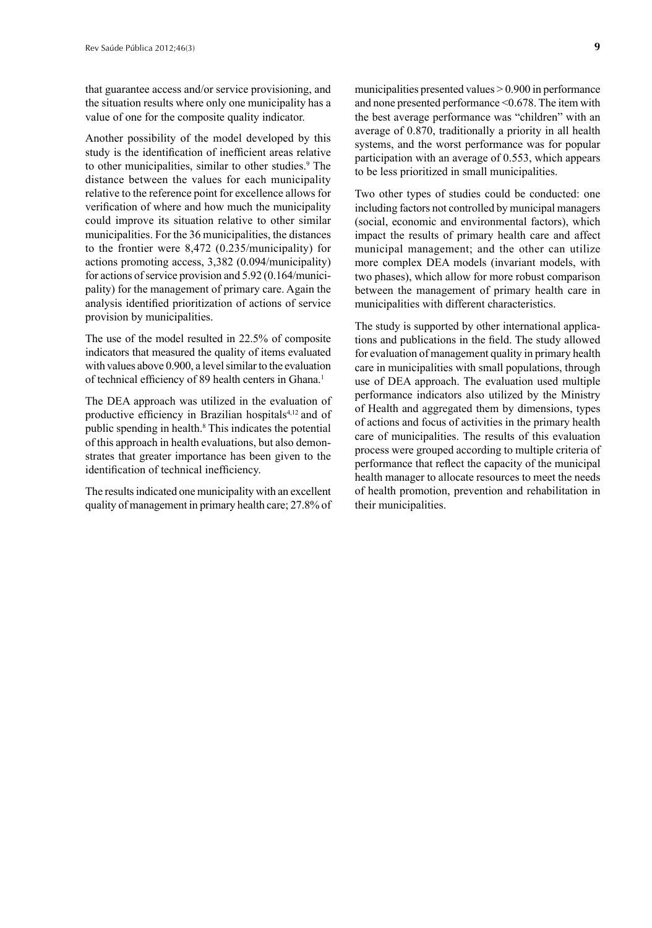that guarantee access and/or service provisioning, and the situation results where only one municipality has a value of one for the composite quality indicator.

Another possibility of the model developed by this study is the identification of inefficient areas relative to other municipalities, similar to other studies.<sup>9</sup> The distance between the values for each municipality relative to the reference point for excellence allows for verification of where and how much the municipality could improve its situation relative to other similar municipalities. For the 36 municipalities, the distances to the frontier were 8,472 (0.235/municipality) for actions promoting access, 3,382 (0.094/municipality) for actions of service provision and 5.92 (0.164/municipality) for the management of primary care. Again the analysis identified prioritization of actions of service provision by municipalities.

The use of the model resulted in 22.5% of composite indicators that measured the quality of items evaluated with values above 0.900, a level similar to the evaluation of technical efficiency of 89 health centers in Ghana.<sup>1</sup>

The DEA approach was utilized in the evaluation of productive efficiency in Brazilian hospitals<sup>4,12</sup> and of public spending in health.8 This indicates the potential of this approach in health evaluations, but also demonstrates that greater importance has been given to the identification of technical inefficiency.

The results indicated one municipality with an excellent quality of management in primary health care; 27.8% of municipalities presented values > 0.900 in performance and none presented performance <0.678. The item with the best average performance was "children" with an average of 0.870, traditionally a priority in all health systems, and the worst performance was for popular participation with an average of 0.553, which appears to be less prioritized in small municipalities.

Two other types of studies could be conducted: one including factors not controlled by municipal managers (social, economic and environmental factors), which impact the results of primary health care and affect municipal management; and the other can utilize more complex DEA models (invariant models, with two phases), which allow for more robust comparison between the management of primary health care in municipalities with different characteristics.

The study is supported by other international applications and publications in the field. The study allowed for evaluation of management quality in primary health care in municipalities with small populations, through use of DEA approach. The evaluation used multiple performance indicators also utilized by the Ministry of Health and aggregated them by dimensions, types of actions and focus of activities in the primary health care of municipalities. The results of this evaluation process were grouped according to multiple criteria of performance that reflect the capacity of the municipal health manager to allocate resources to meet the needs of health promotion, prevention and rehabilitation in their municipalities.